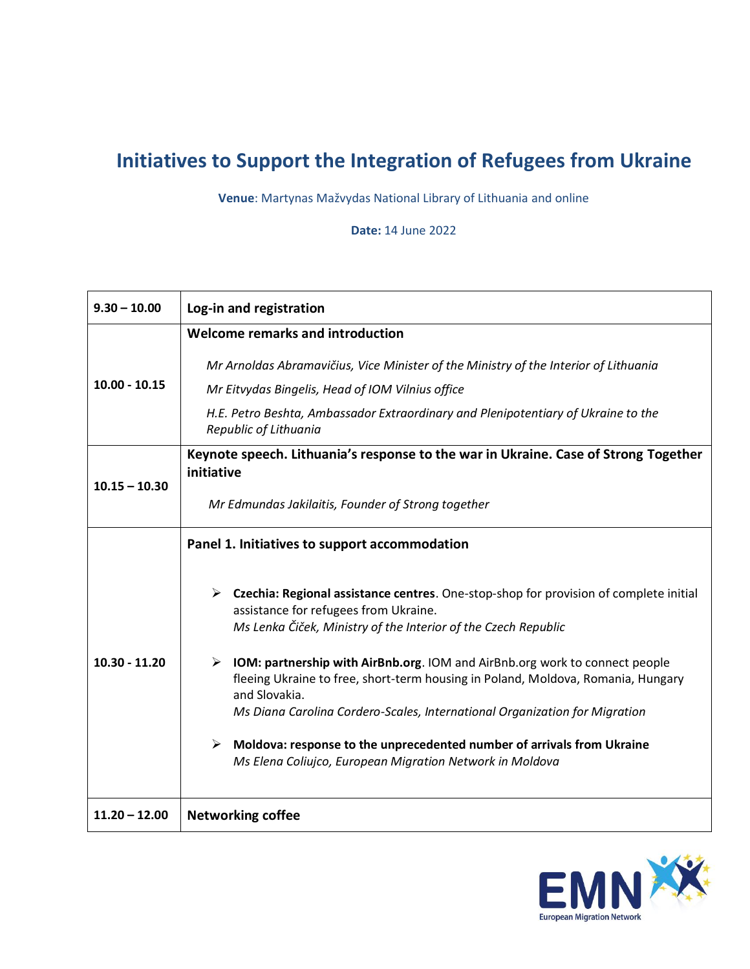## **Initiatives to Support the Integration of Refugees from Ukraine**

**Venue**: Martynas Mažvydas National Library of Lithuania and online

**Date:** 14 June 2022

| $9.30 - 10.00$  | Log-in and registration                                                                                                                                                                                                                                                         |
|-----------------|---------------------------------------------------------------------------------------------------------------------------------------------------------------------------------------------------------------------------------------------------------------------------------|
| $10.00 - 10.15$ | Welcome remarks and introduction                                                                                                                                                                                                                                                |
|                 | Mr Arnoldas Abramavičius, Vice Minister of the Ministry of the Interior of Lithuania                                                                                                                                                                                            |
|                 | Mr Eitvydas Bingelis, Head of IOM Vilnius office                                                                                                                                                                                                                                |
|                 | H.E. Petro Beshta, Ambassador Extraordinary and Plenipotentiary of Ukraine to the<br>Republic of Lithuania                                                                                                                                                                      |
| $10.15 - 10.30$ | Keynote speech. Lithuania's response to the war in Ukraine. Case of Strong Together<br>initiative                                                                                                                                                                               |
|                 | Mr Edmundas Jakilaitis, Founder of Strong together                                                                                                                                                                                                                              |
| $10.30 - 11.20$ | Panel 1. Initiatives to support accommodation                                                                                                                                                                                                                                   |
|                 | $\triangleright$ Czechia: Regional assistance centres. One-stop-shop for provision of complete initial<br>assistance for refugees from Ukraine.<br>Ms Lenka Čiček, Ministry of the Interior of the Czech Republic                                                               |
|                 | $\triangleright$ IOM: partnership with AirBnb.org. IOM and AirBnb.org work to connect people<br>fleeing Ukraine to free, short-term housing in Poland, Moldova, Romania, Hungary<br>and Slovakia.<br>Ms Diana Carolina Cordero-Scales, International Organization for Migration |
|                 | $\triangleright$ Moldova: response to the unprecedented number of arrivals from Ukraine<br>Ms Elena Coliujco, European Migration Network in Moldova                                                                                                                             |
| $11.20 - 12.00$ | <b>Networking coffee</b>                                                                                                                                                                                                                                                        |